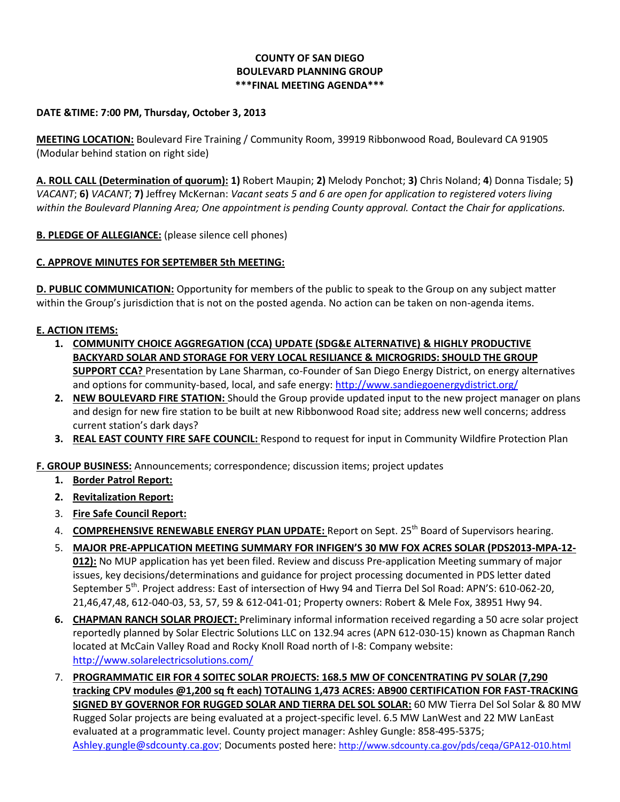# **COUNTY OF SAN DIEGO BOULEVARD PLANNING GROUP \*\*\*FINAL MEETING AGENDA\*\*\***

### **DATE &TIME: 7:00 PM, Thursday, October 3, 2013**

**MEETING LOCATION:** Boulevard Fire Training / Community Room, 39919 Ribbonwood Road, Boulevard CA 91905 (Modular behind station on right side)

**A. ROLL CALL (Determination of quorum): 1)** Robert Maupin; **2)** Melody Ponchot; **3)** Chris Noland; **4**) Donna Tisdale; 5**)**  *VACANT*; **6)** *VACANT*; **7)** Jeffrey McKernan: *Vacant seats 5 and 6 are open for application to registered voters living within the Boulevard Planning Area; One appointment is pending County approval. Contact the Chair for applications.* 

**B. PLEDGE OF ALLEGIANCE:** (please silence cell phones)

# **C. APPROVE MINUTES FOR SEPTEMBER 5th MEETING:**

**D. PUBLIC COMMUNICATION:** Opportunity for members of the public to speak to the Group on any subject matter within the Group's jurisdiction that is not on the posted agenda. No action can be taken on non-agenda items.

# **E. ACTION ITEMS:**

- **1. COMMUNITY CHOICE AGGREGATION (CCA) UPDATE (SDG&E ALTERNATIVE) & HIGHLY PRODUCTIVE BACKYARD SOLAR AND STORAGE FOR VERY LOCAL RESILIANCE & MICROGRIDS: SHOULD THE GROUP SUPPORT CCA?** Presentation by Lane Sharman, co-Founder of San Diego Energy District, on energy alternatives and options for community-based, local, and safe energy:<http://www.sandiegoenergydistrict.org/>
- **2. NEW BOULEVARD FIRE STATION:** Should the Group provide updated input to the new project manager on plans and design for new fire station to be built at new Ribbonwood Road site; address new well concerns; address current station's dark days?
- **3. REAL EAST COUNTY FIRE SAFE COUNCIL:** Respond to request for input in Community Wildfire Protection Plan

**F. GROUP BUSINESS:** Announcements; correspondence; discussion items; project updates

- **1. Border Patrol Report:**
- **2. Revitalization Report:**
- 3. **Fire Safe Council Report:**
- 4. **COMPREHENSIVE RENEWABLE ENERGY PLAN UPDATE:** Report on Sept. 25<sup>th</sup> Board of Supervisors hearing.
- 5. **MAJOR PRE-APPLICATION MEETING SUMMARY FOR INFIGEN'S 30 MW FOX ACRES SOLAR (PDS2013-MPA-12- 012):** No MUP application has yet been filed. Review and discuss Pre-application Meeting summary of major issues, key decisions/determinations and guidance for project processing documented in PDS letter dated September 5<sup>th</sup>. Project address: East of intersection of Hwy 94 and Tierra Del Sol Road: APN'S: 610-062-20, 21,46,47,48, 612-040-03, 53, 57, 59 & 612-041-01; Property owners: Robert & Mele Fox, 38951 Hwy 94.
- **6. CHAPMAN RANCH SOLAR PROJECT:** Preliminary informal information received regarding a 50 acre solar project reportedly planned by Solar Electric Solutions LLC on 132.94 acres (APN 612-030-15) known as Chapman Ranch located at McCain Valley Road and Rocky Knoll Road north of I-8: Company website: <http://www.solarelectricsolutions.com/>
- 7. **PROGRAMMATIC EIR FOR 4 SOITEC SOLAR PROJECTS: 168.5 MW OF CONCENTRATING PV SOLAR (7,290 tracking CPV modules @1,200 sq ft each) TOTALING 1,473 ACRES: AB900 CERTIFICATION FOR FAST-TRACKING SIGNED BY GOVERNOR FOR RUGGED SOLAR AND TIERRA DEL SOL SOLAR:** 60 MW Tierra Del Sol Solar & 80 MW Rugged Solar projects are being evaluated at a project-specific level. 6.5 MW LanWest and 22 MW LanEast evaluated at a programmatic level. County project manager: Ashley Gungle: 858-495-5375; [Ashley.gungle@sdcounty.ca.gov](mailto:Ashley.gungle@sdcounty.ca.gov); Documents posted here: <http://www.sdcounty.ca.gov/pds/ceqa/GPA12-010.html>